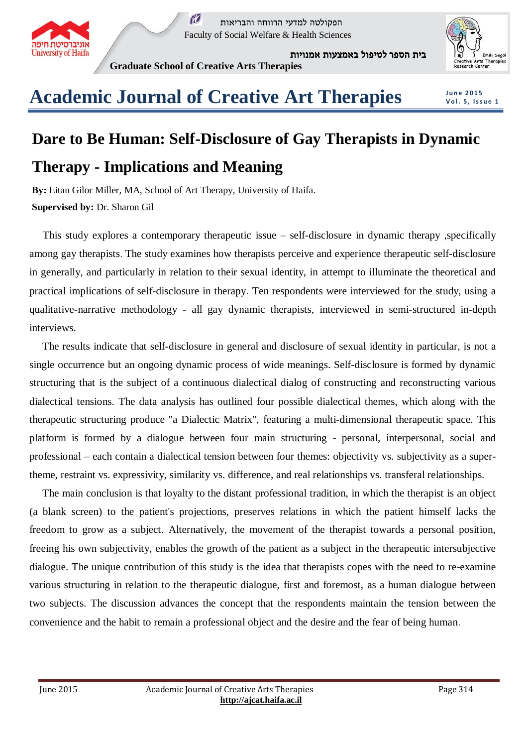

 $\tilde{M}$ הפקולטה למדעי הרווחה והבריאות Faculty of Social Welfare & Health Sciences

בית הספר לטיפול באמצעות אמנויות



## **Graduate School of Creative Arts Therapies**

**J u n e 2 0 1 5 V o l. 5 , I s s u e 1**

## **Academic Journal of Creative Art Therapies**

## **Dare to Be Human: Self-Disclosure of Gay Therapists in Dynamic Therapy - Implications and Meaning**

**By:** Eitan Gilor Miller, MA, School of Art Therapy, University of Haifa. **Supervised by:** Dr. Sharon Gil

 This study explores a contemporary therapeutic issue – self-disclosure in dynamic therapy ,specifically among gay therapists. The study examines how therapists perceive and experience therapeutic self-disclosure in generally, and particularly in relation to their sexual identity, in attempt to illuminate the theoretical and practical implications of self-disclosure in therapy. Ten respondents were interviewed for the study, using a qualitative-narrative methodology - all gay dynamic therapists, interviewed in semi-structured in-depth interviews.

 The results indicate that self-disclosure in general and disclosure of sexual identity in particular, is not a single occurrence but an ongoing dynamic process of wide meanings. Self-disclosure is formed by dynamic structuring that is the subject of a continuous dialectical dialog of constructing and reconstructing various dialectical tensions. The data analysis has outlined four possible dialectical themes, which along with the therapeutic structuring produce "a Dialectic Matrix", featuring a multi-dimensional therapeutic space. This platform is formed by a dialogue between four main structuring - personal, interpersonal, social and professional – each contain a dialectical tension between four themes: objectivity vs. subjectivity as a supertheme, restraint vs. expressivity, similarity vs. difference, and real relationships vs. transferal relationships.

 The main conclusion is that loyalty to the distant professional tradition, in which the therapist is an object (a blank screen) to the patient's projections, preserves relations in which the patient himself lacks the freedom to grow as a subject. Alternatively, the movement of the therapist towards a personal position, freeing his own subjectivity, enables the growth of the patient as a subject in the therapeutic intersubjective dialogue. The unique contribution of this study is the idea that therapists copes with the need to re-examine various structuring in relation to the therapeutic dialogue, first and foremost, as a human dialogue between two subjects. The discussion advances the concept that the respondents maintain the tension between the convenience and the habit to remain a professional object and the desire and the fear of being human.